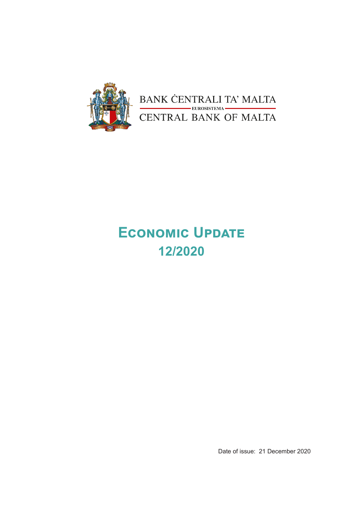

BANK CENTRALI TA' MALTA<br>CENTRAL BANK OF MALTA

# **Economic Update 12/2020**

Date of issue: 21 December 2020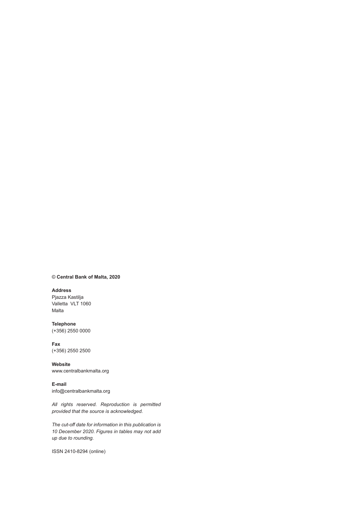#### © **Central Bank of Malta, 2020**

#### **Address**

Pjazza Kastilja Valletta VLT 1060 Malta

**Telephone** (+356) 2550 0000

#### **Fax** (+356) 2550 2500

**Website** www.centralbankmalta.org

**E-mail**  info@centralbankmalta.org

*All rights reserved. Reproduction is permitted provided that the source is acknowledged.* 

*The cut-off date for information in this publication is 10 December 2020. Figures in tables may not add up due to rounding.*

ISSN 2410-8294 (online)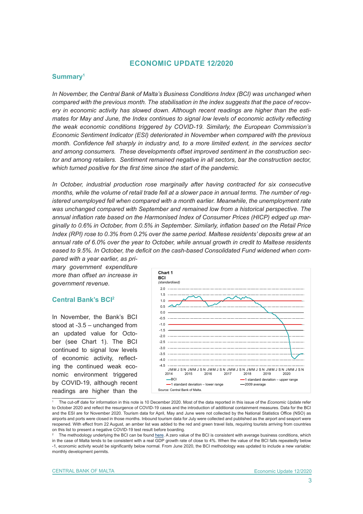## **ECONOMIC UPDATE 12/2020**

## **Summary<sup>1</sup>**

*In November, the Central Bank of Malta's Business Conditions Index (BCI) was unchanged when compared with the previous month. The stabilisation in the index suggests that the pace of recovery in economic activity has slowed down. Although recent readings are higher than the estimates for May and June, the Index continues to signal low levels of economic activity reflecting the weak economic conditions triggered by COVID-19. Similarly, the European Commission's Economic Sentiment Indicator (ESI) deteriorated in November when compared with the previous month. Confidence fell sharply in industry and, to a more limited extent, in the services sector and among consumers. These developments offset improved sentiment in the construction sector and among retailers. Sentiment remained negative in all sectors, bar the construction sector, which turned positive for the first time since the start of the pandemic.*

*In October, industrial production rose marginally after having contracted for six consecutive months, while the volume of retail trade fell at a slower pace in annual terms. The number of registered unemployed fell when compared with a month earlier. Meanwhile, the unemployment rate was unchanged compared with September and remained low from a historical perspective. The annual inflation rate based on the Harmonised Index of Consumer Prices (HICP) edged up marginally to 0.6% in October, from 0.5% in September. Similarly, inflation based on the Retail Price Index (RPI) rose to 0.3% from 0.2% over the same period. Maltese residents' deposits grew at an annual rate of 6.0% over the year to October, while annual growth in credit to Maltese residents eased to 9.5%. In October, the deficit on the cash-based Consolidated Fund widened when com-*

*pared with a year earlier, as primary government expenditure more than offset an increase in government revenue.*

## **Central Bank's BCI<sup>2</sup>**

In November, the Bank's BCI stood at -3.5 – unchanged from an updated value for October (see Chart 1). The BCI continued to signal low levels of economic activity, reflecting the continued weak economic environment triggered by COVID-19, although recent readings are higher than the



<sup>1</sup> The cut-off date for information in this note is 10 December 2020. Most of the data reported in this issue of the *Economic Update* refer to October 2020 and reflect the resurgence of COVID-19 cases and the introduction of additional containment measures. Data for the BCI and the ESI are for November 2020. Tourism data for April, May and June were not collected by the National Statistics Office (NSO) as airports and ports were closed in those months. Inbound tourism data for July were collected and published as the airport and seaport were reopened. With effect from 22 August, an amber list was added to the red and green travel lists, requiring tourists arriving from countries on this list to present a negative COVID-19 test result before boarding.

<sup>2</sup> The methodology underlying the BCI can be found [here](https://www.centralbankmalta.org/business-conditions-index). A zero value of the BCI is consistent with average business conditions, which in the case of Malta tends to be consistent with a real GDP growth rate of close to 4%. When the value of the BCI falls repeatedly below -1, economic activity would be significantly below normal. From June 2020, the BCI methodology was updated to include a new variable: monthly development permits.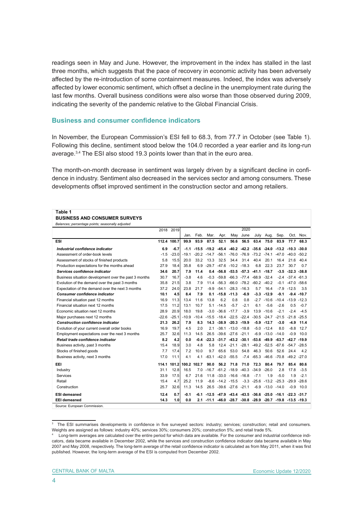readings seen in May and June. However, the improvement in the index has stalled in the last three months, which suggests that the pace of recovery in economic activity has been adversely affected by the re-introduction of some containment measures. Indeed, the index was adversely affected by lower economic sentiment, which offset a decline in the unemployment rate during the last few months. Overall business conditions were also worse than those observed during 2009, indicating the severity of the pandemic relative to the Global Financial Crisis.

#### **Business and consumer confidence indicators**

In November, the European Commission's ESI fell to 68.3, from 77.7 in October (see Table 1). Following this decline, sentiment stood below the 104.0 recorded a year earlier and its long-run average.3,4 The ESI also stood 19.3 points lower than that in the euro area.

The month-on-month decrease in sentiment was largely driven by a significant decline in confidence in industry. Sentiment also decreased in the services sector and among consumers. These developments offset improved sentiment in the construction sector and among retailers.

#### **Table 1**

#### **BUSINESS AND CONSUMER SURVEYS** *Balances; percentage points; seasonally adjusted*

| Balances, percentage points, seasonally aujusted      |         | 2018 2019   |                         |      |      |                                 |                                                                                 | 2020    |                                                         |                    |                       |                        |               |
|-------------------------------------------------------|---------|-------------|-------------------------|------|------|---------------------------------|---------------------------------------------------------------------------------|---------|---------------------------------------------------------|--------------------|-----------------------|------------------------|---------------|
|                                                       |         |             | Jan.                    | Feb. | Mar. | Apr.                            | May                                                                             | June    | July                                                    | Aug.               | Sep.                  |                        | Oct. Nov.     |
| ESI                                                   |         | 112.4 100.7 | 99.9                    | 93.9 | 87.5 | 52.1                            | 56.6                                                                            | 56.5    | 63.4                                                    | 75.0               | 83.9                  | 77.7                   | 68.3          |
| Industrial confidence indicator                       | 6.9     | $-6.7$      | $-1.1$                  |      |      |                                 | $-15.5$ $-19.2$ $-45.4$ $-40.2$ $-42.2$ $-35.6$ $-24.0$ $-13.2$ $-10.3$ $-30.0$ |         |                                                         |                    |                       |                        |               |
| Assessment of order-book levels                       | $-1.5$  | $-23.0$     | $-19.1$                 |      |      |                                 | $-20.2$ $-14.7$ $-56.1$ $-76.0$ $-76.9$ $-73.2$ $-74.1$ $-47.0$ $-40.0$ $-50.2$ |         |                                                         |                    |                       |                        |               |
| Assessment of stocks of finished products             | 5.8     | 15.5        | 20.0                    | 33.2 | 13.3 | 32.5                            | 34.4                                                                            | 31.4    | 40.4                                                    | 20.1               | 16.4                  | 21.6                   | 40.4          |
| Production expectations for the months ahead          | 27.9    | 18.4        | 35.8                    | 6.9  |      |                                 | $-29.7 -47.6 -10.2 -18.3$                                                       |         | 6.8                                                     | 22.3               | 23.7                  | 30.7                   | 0.7           |
| Services confidence indicator                         | 34.6    | 20.7        | 7.9                     | 11.4 |      |                                 | $0.4 -56.8 -53.5 -57.3 -41.1 -18.7$                                             |         |                                                         |                    |                       | $-3.5 - 32.3 - 38.8$   |               |
| Business situation development over the past 3 months | 30.7    | 16.7        | $-3.8$                  | 4.6  |      |                                 | $-0.3$ $-59.8$ $-66.3$ $-77.4$ $-68.9$ $-32.4$                                  |         |                                                         |                    |                       | $-2.4$ $-37.4$ $-61.3$ |               |
| Evolution of the demand over the past 3 months        | 35.8    | 21.5        | 3.8                     | 7.9  |      |                                 | 11.4 -56.3 -66.0 -78.2 -60.2 -40.2                                              |         |                                                         |                    |                       | $-0.1 -47.0 -58.6$     |               |
| Expectation of the demand over the next 3 months      | 37.2    | 24.0        | 23.8                    | 21.7 |      |                                 | $-9.9 -54.1 -28.3 -16.3$                                                        |         | 5.7                                                     | 16.4               |                       | $-7.9 - 12.5$          | 3.5           |
| <b>Consumer confidence indicator</b>                  | 10.1    | 4.5         | 8.4                     | 7.9  |      | $0.1 - 15.8 - 11.3$             |                                                                                 | $-6.9$  |                                                         | $-3.3 - 12.9$      | $-9.1$                |                        | $-9.4 - 10.7$ |
| Financial situation past 12 months                    | 16.9    | 11.3        | 13.4                    | 11.6 | 13.8 | 6.2                             | 0.8                                                                             | 0.8     |                                                         | $-2.7 - 10.6$      | $-10.4$               | $-13.9 - 12.3$         |               |
| Financial situation next 12 months                    | 17.5    | 11.2        | 13.1                    | 10.7 |      | $5.1 - 14.5$                    | $-5.7$                                                                          | $-2.1$  | 6.1                                                     | $-5.6$             | $-2.6$                | 0.5                    | $-0.7$        |
| Economic situation next 12 months                     | 28.9    | 20.9        | 18.0                    | 19.8 |      | $-3.0 -36.6 -17.7$              |                                                                                 | $-3.9$  |                                                         | 13.9 - 10.6        | $-2.1$                | $-2.4$                 | $-4.5$        |
| Major purchases next 12 months                        | $-22.6$ | $-25.1$     | $-10.9$                 |      |      | $-10.4$ $-15.5$ $-18.4$ $-22.5$ |                                                                                 |         | $-22.4$ $-30.5$ $-24.7$                                 |                    | $-21.5$               | $-21.8 - 25.5$         |               |
| <b>Construction confidence indicator</b>              | 21.3    | 26.2        | 7.9                     | 8.3  |      |                                 | 14.3 -38.9 -20.3 -19.9                                                          |         |                                                         | $-5.9 - 12.7$      | $-3.0$                | $-4.9$                 | 11.4          |
| Evolution of your current overall order books         | 16.9    | 19.7        | 4.5                     | 2.0  | 2.1  |                                 | $-38.1 - 13.0 - 18.8$                                                           |         |                                                         | $-5.0 - 12.4$      | 8.0                   | $-8.8$                 | 12.7          |
| Employment expectations over the next 3 months        | 25.7    | 32.6        | 11.3                    | 14.5 |      | 26.5 -39.6 -27.6                |                                                                                 | $-21.1$ |                                                         | $-6.9 - 13.0$      | $-14.0$               | $-0.9$                 | 10.0          |
| Retail trade confidence indicator                     | 8.2     | 4.2         | 0.0                     | -0.4 |      |                                 | $-22.3$ $-31.7$ $-43.2$ $-30.1$                                                 |         | $-53.6 - 49.9$                                          |                    | $-63.7 - 42.7 - 19.9$ |                        |               |
| Business activity, past 3 months                      | 15.4    | 18.9        | 3.0                     | 4.8  | 5.8  |                                 | $12.4 -21.1$                                                                    | $-28.1$ | $-49.2 -52.5$                                           |                    | $-67.6 -54.7 -28.5$   |                        |               |
| Stocks of finished goods                              | 7.7     | 17.4        | 7.2                     | 10.0 | 9.7  | 65.6                            | 53.0                                                                            | 54.8    | 46.3                                                    | 50.6               | 52.6                  | 24.4                   | 4.2           |
| Business activity, next 3 months                      | 17.0    | 11.1        | 4.1                     | 4.1  |      | $-63.1 - 42.0 - 55.5$           |                                                                                 |         | $-7.4$ $-65.3$ $-46.6$                                  |                    | -70.8 -49.2 -27.0     |                        |               |
| EEL                                                   |         |             | 114.1 101.2 100.2 102.7 |      | 90.0 | 56.2                            | 71.8                                                                            | 71.0    | 72.3                                                    | 80.4               | 79.7                  | 85.4                   | 80.6          |
| Industry                                              | 31.1    | 12.8        | 16.5                    | 7.0  |      | $-16.7 -61.2 -18.9$             |                                                                                 | $-40.3$ | $-34.9$                                                 | $-26.0$            | 2.8                   | 17.8                   | $-3.5$        |
| Services                                              | 33.9    | 17.5        | 6.7                     | 21.6 |      |                                 | 11.8 -33.0 -16.6 -16.8                                                          |         | $-7.1$                                                  | 1.9                | $-5.0$                | 1.9                    | $-2.1$        |
| Retail                                                | 15.4    | 4.7         | 25.2                    | 11.9 |      | $-8.6 -14.2 -15.5$              |                                                                                 |         | $-3.3$ $-25.6$ $-13.2$ $-25.3$ $-29.9$ $-28.6$          |                    |                       |                        |               |
| Construction                                          | 25.7    | 32.6        | 11.3                    | 14.5 |      |                                 | 26.5 -39.6 -27.6 -21.1                                                          |         |                                                         | $-6.9 -13.0 -14.0$ |                       |                        | $-0.9$ 10.0   |
| <b>ESI demeaned</b>                                   | 12.4    | 0.7         | $-0.1$                  | -6.1 |      | $-12.5$ $-47.9$                 |                                                                                 |         | $-43.4$ $-43.5$ $-36.6$ $-25.0$ $-16.1$ $-22.3$ $-31.7$ |                    |                       |                        |               |
| <b>EEI demeaned</b>                                   | 14.3    | 1.0         | 0.0                     | 2.1  |      |                                 | $-11.1$ $-46.0$ $-28.7$ $-30.8$ $-28.9$ $-20.7$ $-19.8$ $-13.5$ $-19.3$         |         |                                                         |                    |                       |                        |               |
| Source: European Commission.                          |         |             |                         |      |      |                                 |                                                                                 |         |                                                         |                    |                       |                        |               |

<sup>3</sup> The ESI summarises developments in confidence in five surveyed sectors: industry; services; construction; retail and consumers. Weights are assigned as follows: industry 40%; services 30%; consumers 20%; construction 5%; and retail trade 5%.

<sup>4</sup> Long-term averages are calculated over the entire period for which data are available. For the consumer and industrial confidence indicators, data became available in December 2002, while the services and construction confidence indicator data became available in May 2007 and May 2008, respectively. The long-term average of the retail confidence indicator is calculated as from May 2011, when it was first published. However, the long-term average of the ESI is computed from December 2002.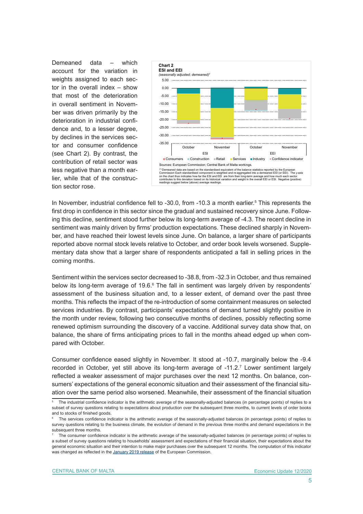Demeaned data – which account for the variation in weights assigned to each sector in the overall index – show that most of the deterioration in overall sentiment in November was driven primarily by the deterioration in industrial confidence and, to a lesser degree, by declines in the services sector and consumer confidence (see Chart 2). By contrast, the contribution of retail sector was less negative than a month earlier, while that of the construction sector rose.



In November, industrial confidence fell to -30.0, from -10.3 a month earlier.<sup>5</sup> This represents the first drop in confidence in this sector since the gradual and sustained recovery since June. Following this decline, sentiment stood further below its long-term average of -4.3. The recent decline in sentiment was mainly driven by firms' production expectations. These declined sharply in November, and have reached their lowest levels since June. On balance, a larger share of participants reported above normal stock levels relative to October, and order book levels worsened. Supplementary data show that a larger share of respondents anticipated a fall in selling prices in the coming months.

Sentiment within the services sector decreased to -38.8, from -32.3 in October, and thus remained below its long-term average of 19.6.<sup>6</sup> The fall in sentiment was largely driven by respondents' assessment of the business situation and, to a lesser extent, of demand over the past three months. This reflects the impact of the re-introduction of some containment measures on selected services industries. By contrast, participants' expectations of demand turned slightly positive in the month under review, following two consecutive months of declines, possibly reflecting some renewed optimism surrounding the discovery of a vaccine. Additional survey data show that, on balance, the share of firms anticipating prices to fall in the months ahead edged up when compared with October.

Consumer confidence eased slightly in November. It stood at -10.7, marginally below the -9.4 recorded in October, yet still above its long-term average of -11.2.7 Lower sentiment largely reflected a weaker assessment of major purchases over the next 12 months. On balance, consumers' expectations of the general economic situation and their assessment of the financial situation over the same period also worsened. Meanwhile, their assessment of the financial situation

<sup>5</sup> The industrial confidence indicator is the arithmetic average of the seasonally-adjusted balances (in percentage points) of replies to a subset of survey questions relating to expectations about production over the subsequent three months, to current levels of order books and to stocks of finished goods.

<sup>6</sup> The services confidence indicator is the arithmetic average of the seasonally-adjusted balances (in percentage points) of replies to survey questions relating to the business climate, the evolution of demand in the previous three months and demand expectations in the subsequent three months.

<sup>7</sup> The consumer confidence indicator is the arithmetic average of the seasonally-adjusted balances (in percentage points) of replies to a subset of survey questions relating to households' assessment and expectations of their financial situation, their expectations about the general economic situation and their intention to make major purchases over the subsequent 12 months. The computation of this indicator was changed as reflected in the [January 2019 release](https://ec.europa.eu/info/sites/info/files/esi_2019_01_en.pdf) of the European Commission.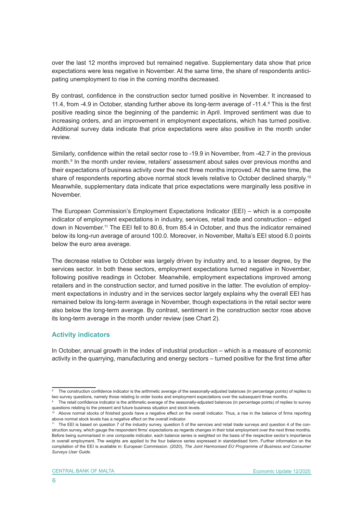over the last 12 months improved but remained negative. Supplementary data show that price expectations were less negative in November. At the same time, the share of respondents anticipating unemployment to rise in the coming months decreased.

By contrast, confidence in the construction sector turned positive in November. It increased to 11.4, from -4.9 in October, standing further above its long-term average of -11.4. $8$  This is the first positive reading since the beginning of the pandemic in April. Improved sentiment was due to increasing orders, and an improvement in employment expectations, which has turned positive. Additional survey data indicate that price expectations were also positive in the month under review.

Similarly, confidence within the retail sector rose to -19.9 in November, from -42.7 in the previous month.9 In the month under review, retailers' assessment about sales over previous months and their expectations of business activity over the next three months improved. At the same time, the share of respondents reporting above normal stock levels relative to October declined sharply.<sup>10</sup> Meanwhile, supplementary data indicate that price expectations were marginally less positive in November.

The European Commission's Employment Expectations Indicator (EEI) – which is a composite indicator of employment expectations in industry, services, retail trade and construction – edged down in November.11 The EEI fell to 80.6, from 85.4 in October, and thus the indicator remained below its long-run average of around 100.0. Moreover, in November, Malta's EEI stood 6.0 points below the euro area average.

The decrease relative to October was largely driven by industry and, to a lesser degree, by the services sector. In both these sectors, employment expectations turned negative in November, following positive readings in October. Meanwhile, employment expectations improved among retailers and in the construction sector, and turned positive in the latter. The evolution of employment expectations in industry and in the services sector largely explains why the overall EEI has remained below its long-term average in November, though expectations in the retail sector were also below the long-term average. By contrast, sentiment in the construction sector rose above its long-term average in the month under review (see Chart 2).

## **Activity indicators**

In October, annual growth in the index of industrial production – which is a measure of economic activity in the quarrying, manufacturing and energy sectors – turned positive for the first time after

<sup>8</sup> The construction confidence indicator is the arithmetic average of the seasonally-adjusted balances (in percentage points) of replies to two survey questions, namely those relating to order books and employment expectations over the subsequent three months.

<sup>9</sup> The retail confidence indicator is the arithmetic average of the seasonally-adjusted balances (in percentage points) of replies to survey questions relating to the present and future business situation and stock levels.

 $<sup>0</sup>$  Above normal stocks of finished goods have a negative effect on the overall indicator. Thus, a rise in the balance of firms reporting</sup> above normal stock levels has a negative effect on the overall indicator.

<sup>&</sup>lt;sup>11</sup> The EEI is based on question 7 of the industry survey, question 5 of the services and retail trade surveys and question 4 of the construction survey, which gauge the respondent firms' expectations as regards changes in their total employment over the next three months. Before being summarised in one composite indicator, each balance series is weighted on the basis of the respective sector's importance in overall employment. The weights are applied to the four balance series expressed in standardised form. Further information on the compilation of the EEI is available in: European Commission. (2020), *The Joint Harmonised EU Programme of Business and Consumer Surveys User Guide*.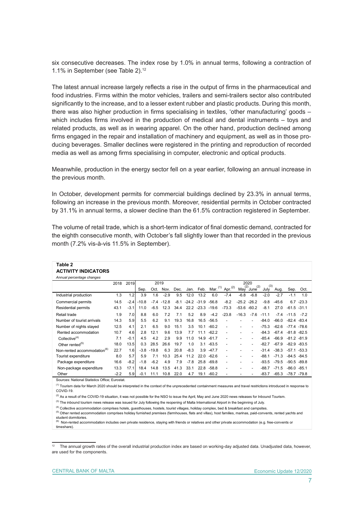six consecutive decreases. The index rose by 1.0% in annual terms, following a contraction of 1.1% in September (see Table 2).12

The latest annual increase largely reflects a rise in the output of firms in the pharmaceutical and food industries. Firms within the motor vehicles, trailers and semi-trailers sector also contributed significantly to the increase, and to a lesser extent rubber and plastic products. During this month, there was also higher production in firms specialising in textiles, 'other manufacturing' goods – which includes firms involved in the production of medical and dental instruments – toys and related products, as well as in wearing apparel. On the other hand, production declined among firms engaged in the repair and installation of machinery and equipment, as well as in those producing beverages. Smaller declines were registered in the printing and reproduction of recorded media as well as among firms specialising in computer, electronic and optical products.

Meanwhile, production in the energy sector fell on a year earlier, following an annual increase in the previous month.

In October, development permits for commercial buildings declined by 23.3% in annual terms, following an increase in the previous month. Moreover, residential permits in October contracted by 31.1% in annual terms, a slower decline than the 61.5% contraction registered in September.

The volume of retail trade, which is a short-term indicator of final domestic demand, contracted for the eighth consecutive month, with October's fall slightly lower than that recorded in the previous month (7.2% vis-à-vis 11.5% in September).

| Table 2                                        |        |        |         |         |         |        |        |               |         |                          |         |                 |         |         |                |         |  |
|------------------------------------------------|--------|--------|---------|---------|---------|--------|--------|---------------|---------|--------------------------|---------|-----------------|---------|---------|----------------|---------|--|
| <b>ACTIVITY INDICATORS</b>                     |        |        |         |         |         |        |        |               |         |                          |         |                 |         |         |                |         |  |
| Annual percentage changes                      |        |        |         |         |         |        |        |               |         |                          |         |                 |         |         |                |         |  |
|                                                | 2018   | 2019   |         | 2019    |         |        |        | 2020<br>(3)   |         |                          |         |                 |         |         |                |         |  |
|                                                |        |        | Sep.    | Oct.    | Nov.    | Dec.   |        | Jan. Feb.     |         | Mar. (1) Apr. (2)        | (2)     | (2)<br>May June | July    | Aug.    | Sep.           | Oct.    |  |
| Industrial production                          | 1.3    | 1.2    | 3.9     | 1.6     | $-2.9$  | 9.5    | 12.0   | 13.2          | 6.0     | $-7.4$                   | $-6.8$  | $-6.8$          | $-2.0$  | $-2.7$  | $-1.1$         | 1.0     |  |
| Commercial permits                             | 14.5   | $-2.4$ | $-10.8$ | $-7.4$  | $-12.8$ | $-8.1$ |        | $-24.2 -31.9$ | $-56.8$ | $-8.2$                   |         | $-25.2 -26.2$   | $-9.8$  | $-45.6$ | 6.7            | $-23.3$ |  |
| <b>Residential permits</b>                     | 43.1   | $-3.1$ | 11.0    | $-6.5$  | 12.3    | 34.4   |        | $22.2 - 23.3$ | $-19.6$ | $-73.3$                  | $-53.6$ | $-60.2$         | $-8.1$  | 27.0    | $-61.5 -31.1$  |         |  |
| Retail trade                                   | 1.9    | 7.0    | 8.8     | 6.0     | 7.2     | 7.1    | 5.2    | 8.9           | $-4.2$  | $-23.8$                  | $-16.3$ | $-7.6$          | $-11.1$ | $-7.4$  | $-11.5$        | $-72$   |  |
| Number of tourist arrivals                     | 14.3   | 5.9    | 5.5     | 6.2     | 9.1     | 19.3   | 16.8   | 16.5          | $-56.5$ |                          |         |                 | $-84.0$ | $-66.0$ | $-82.4 - 83.4$ |         |  |
| Number of nights stayed                        | 12.5   | 4.1    | 2.1     | 6.5     | 9.0     | 15.1   | 3.5    | 10.1          | $-60.2$ | $\overline{\phantom{a}}$ |         |                 | $-75.3$ | $-62.6$ | $-77.4 - 78.6$ |         |  |
| Rented accommodation                           | 10.7   | 4.6    | 2.8     | 12.1    | 9.6     | 13.9   | 7.7    | 11.1          | $-62.2$ | ٠                        |         |                 | $-84.3$ | $-67.4$ | $-81.8 - 82.5$ |         |  |
| Collective <sup>(4)</sup>                      | 7.1    | $-0.1$ | 4.5     | 4.2     | 2.9     | 9.9    | 11.0   | 14.9          | $-61.7$ |                          |         |                 | $-85.4$ | $-66.9$ | $-81.2 - 81.9$ |         |  |
| Other rented $(5)$                             | 18.0   | 13.5   | 0.3     | 28.5    | 26.6    | 19.7   | 1.0    | 3.1           | $-63.5$ | $\overline{a}$           | ٠       |                 | $-82.7$ | $-67.9$ | $-82.9 - 83.5$ |         |  |
| Non-rented accommodation <sup>(6)</sup>        | 22.7   | 1.6    | $-3.8$  | $-19.8$ | 6.3     | 20.8   | $-8.3$ | 3.9           | $-47.7$ |                          |         |                 | $-31.4$ | $-38.3$ | $-57.1 - 53.3$ |         |  |
| Tourist expenditure                            | 8.0    | 5.7    | 5.9     | 7.1     | 10.3    | 25.4   | 11.2   | 22.0          | $-62.6$ | $\overline{a}$           |         |                 | $-88.1$ | $-71.3$ | $-84.5 - 84.5$ |         |  |
| Package expenditure                            | 16.6   | $-8.2$ | $-1.8$  | $-6.2$  | 4.9     | 7.9    | $-7.8$ | 25.8          | $-69.8$ |                          |         |                 | $-93.5$ | $-79.5$ | $-90.5$        | -89.8   |  |
| Non-package expenditure                        | 13.3   | 17.1   | 18.4    | 14.8    | 13.5    | 41.3   | 33.1   | 22.8          | $-58.8$ | $\overline{\phantom{a}}$ |         |                 | $-88.7$ | $-71.5$ | $-86.0 - 85.1$ |         |  |
| Other                                          | $-2.2$ | 5.9    | $-0.1$  | 11.1    | 10.8    | 22.0   | 4.7    | 19.1          | $-60.2$ | $\overline{\phantom{a}}$ |         |                 | $-83.7$ | $-65.3$ | $-78.7 - 79.8$ |         |  |
| Sources: National Statistics Office: Eurostat. |        |        |         |         |         |        |        |               |         |                          |         |                 |         |         |                |         |  |

Sources: National Statistics Office; Eurostat.

(1) Tourism data for March 2020 should be interpreted in the context of the unprecedented containment measures and travel restrictions introduced in response to COVID-19.

 $^{(2)}$  As a result of the COVID-19 situation, it was not possible for the NSO to issue the April, May and June 2020 news releases for Inbound Tourism.

<sup>(3)</sup> The inbound tourism news release was issued for July following the reopening of Malta International Airport in the beginning of July.

<sup>(4)</sup> Collective accommodation comprises hotels, guesthouses, hostels, tourist villages, holiday complex, bed & breakfast and campsites.

(5) Other rented accommodation comprises holiday furnished premises (farmhouses, flats and villas), host families, marinas, paid-convents, rented yachts and student dormitories.

<sup>(6)</sup> Non-rented accommodation includes own private residence, staying with friends or relatives and other private accommodation (e.g. free-convents or timeshare).

<sup>&</sup>lt;sup>12</sup> The annual growth rates of the overall industrial production index are based on working-day adjusted data. Unadjusted data, however, are used for the components.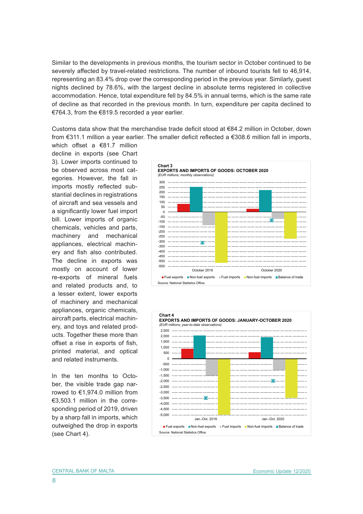Similar to the developments in previous months, the tourism sector in October continued to be severely affected by travel-related restrictions. The number of inbound tourists fell to 46,914, representing an 83.4% drop over the corresponding period in the previous year. Similarly, guest nights declined by 78.6%, with the largest decline in absolute terms registered in collective accommodation. Hence, total expenditure fell by 84.5% in annual terms, which is the same rate of decline as that recorded in the previous month. In turn, expenditure per capita declined to €764.3, from the €819.5 recorded a year earlier.

Customs data show that the merchandise trade deficit stood at  $\epsilon$ 84.2 million in October, down from €311.1 million a year earlier. The smaller deficit reflected a €308.6 million fall in imports,

which offset a €81.7 million decline in exports (see Chart 3). Lower imports continued to be observed across most categories. However, the fall in imports mostly reflected substantial declines in registrations of aircraft and sea vessels and a significantly lower fuel import bill. Lower imports of organic chemicals, vehicles and parts, machinery and mechanical appliances, electrical machinery and fish also contributed. The decline in exports was mostly on account of lower re-exports of mineral fuels and related products and, to a lesser extent, lower exports of machinery and mechanical appliances, organic chemicals, aircraft parts, electrical machinery, and toys and related products. Together these more than offset a rise in exports of fish, printed material, and optical and related instruments.

In the ten months to October, the visible trade gap narrowed to €1,974.0 million from €3,503.1 million in the corresponding period of 2019, driven by a sharp fall in imports, which outweighed the drop in exports (see Chart 4).



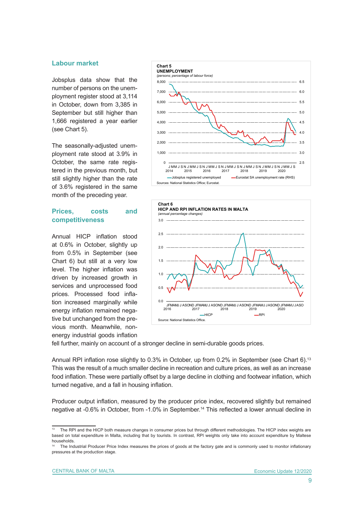## **Labour market**

Jobsplus data show that the number of persons on the unemployment register stood at 3,114 in October, down from 3,385 in September but still higher than 1,666 registered a year earlier (see Chart 5).

The seasonally-adjusted unemployment rate stood at 3.9% in October, the same rate registered in the previous month, but still slightly higher than the rate of 3.6% registered in the same month of the preceding year.

## **Prices, costs and competitiveness**

Annual HICP inflation stood at 0.6% in October, slightly up from 0.5% in September (see Chart 6) but still at a very low level. The higher inflation was driven by increased growth in services and unprocessed food prices. Processed food inflation increased marginally while energy inflation remained negative but unchanged from the previous month. Meanwhile, nonenergy industrial goods inflation





fell further, mainly on account of a stronger decline in semi-durable goods prices.

Annual RPI inflation rose slightly to 0.3% in October, up from 0.2% in September (see Chart 6).<sup>13</sup> This was the result of a much smaller decline in recreation and culture prices, as well as an increase food inflation. These were partially offset by a large decline in clothing and footwear inflation, which turned negative, and a fall in housing inflation.

Producer output inflation, measured by the producer price index, recovered slightly but remained negative at -0.6% in October, from -1.0% in September.14 This reflected a lower annual decline in

<sup>&</sup>lt;sup>13</sup> The RPI and the HICP both measure changes in consumer prices but through different methodologies. The HICP index weights are based on total expenditure in Malta, including that by tourists. In contrast, RPI weights only take into account expenditure by Maltese households.

The Industrial Producer Price Index measures the prices of goods at the factory gate and is commonly used to monitor inflationary pressures at the production stage.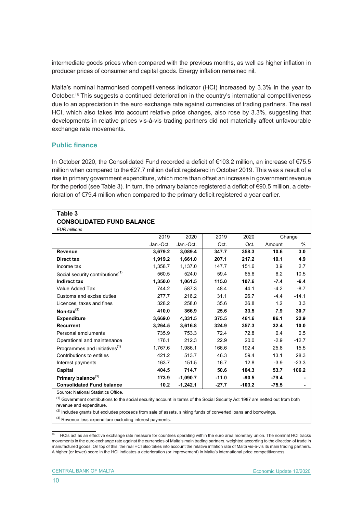intermediate goods prices when compared with the previous months, as well as higher inflation in producer prices of consumer and capital goods. Energy inflation remained nil.

Malta's nominal harmonised competitiveness indicator (HCI) increased by 3.3% in the year to October.<sup>15</sup> This suggests a continued deterioration in the country's international competitiveness due to an appreciation in the euro exchange rate against currencies of trading partners. The real HCI, which also takes into account relative price changes, also rose by 3.3%, suggesting that developments in relative prices vis-à-vis trading partners did not materially affect unfavourable exchange rate movements.

## **Public finance**

In October 2020, the Consolidated Fund recorded a deficit of €103.2 million, an increase of €75.5 million when compared to the €27.7 million deficit registered in October 2019. This was a result of a rise in primary government expenditure, which more than offset an increase in government revenue for the period (see Table 3). In turn, the primary balance registered a deficit of €90.5 million, a deterioration of €79.4 million when compared to the primary deficit registered a year earlier.

#### **Table 3 CONSOLIDATED FUND BALANCE**  *EUR millions*

| CUR IIIIIIUIIS                               |           |            |         |          |         |         |
|----------------------------------------------|-----------|------------|---------|----------|---------|---------|
|                                              | 2019      | 2020       | 2019    | 2020     |         | Change  |
|                                              | Jan.-Oct. | Jan.-Oct.  | Oct.    | Oct.     | Amount  | %       |
| Revenue                                      | 3,679.2   | 3,089.4    | 347.7   | 358.3    | 10.6    | 3.0     |
| Direct tax                                   | 1,919.2   | 1,661.0    | 207.1   | 217.2    | 10.1    | 4.9     |
| Income tax                                   | 1,358.7   | 1,137.0    | 147.7   | 151.6    | 3.9     | 2.7     |
| Social security contributions <sup>(1)</sup> | 560.5     | 524.0      | 59.4    | 65.6     | 6.2     | 10.5    |
| <b>Indirect tax</b>                          | 1,350.0   | 1,061.5    | 115.0   | 107.6    | $-7.4$  | $-6.4$  |
| Value Added Tax                              | 744.2     | 587.3      | 48.4    | 44.1     | $-4.2$  | $-8.7$  |
| Customs and excise duties                    | 277.7     | 216.2      | 31.1    | 26.7     | -4.4    | $-14.1$ |
| Licences, taxes and fines                    | 328.2     | 258.0      | 35.6    | 36.8     | 1.2     | 3.3     |
| Non-tax $^{(2)}$                             | 410.0     | 366.9      | 25.6    | 33.5     | 7.9     | 30.7    |
| <b>Expenditure</b>                           | 3,669.0   | 4,331.5    | 375.5   | 461.6    | 86.1    | 22.9    |
| <b>Recurrent</b>                             | 3,264.5   | 3,616.8    | 324.9   | 357.3    | 32.4    | 10.0    |
| Personal emoluments                          | 735.9     | 753.3      | 72.4    | 72.8     | 0.4     | 0.5     |
| Operational and maintenance                  | 176.1     | 212.3      | 22.9    | 20.0     | $-2.9$  | $-12.7$ |
| Programmes and initiatives <sup>(1)</sup>    | 1,767.6   | 1,986.1    | 166.6   | 192.4    | 25.8    | 15.5    |
| Contributions to entities                    | 421.2     | 513.7      | 46.3    | 59.4     | 13.1    | 28.3    |
| Interest payments                            | 163.7     | 151.5      | 16.7    | 12.8     | $-3.9$  | $-23.3$ |
| Capital                                      | 404.5     | 714.7      | 50.6    | 104.3    | 53.7    | 106.2   |
| Primary balance <sup>(3)</sup>               | 173.9     | $-1,090.7$ | $-11.0$ | $-90.5$  | $-79.4$ |         |
| <b>Consolidated Fund balance</b>             | 10.2      | $-1,242.1$ | $-27.7$ | $-103.2$ | $-75.5$ |         |

Source: National Statistics Office.

 $<sup>(1)</sup>$  Government contributions to the social security account in terms of the Social Security Act 1987 are netted out from both</sup> revenue and expenditure.

<sup>(2)</sup> Includes grants but excludes proceeds from sale of assets, sinking funds of converted loans and borrowings.

(3) Revenue less expenditure excluding interest payments.

<sup>15</sup> HCIs act as an effective exchange rate measure for countries operating within the euro area monetary union. The nominal HCI tracks movements in the euro exchange rate against the currencies of Malta's main trading partners, weighted according to the direction of trade in manufactured goods. On top of this, the real HCI also takes into account the relative inflation rate of Malta vis-à-vis its main trading partners. A higher (or lower) score in the HCI indicates a deterioration (or improvement) in Malta's international price competitiveness.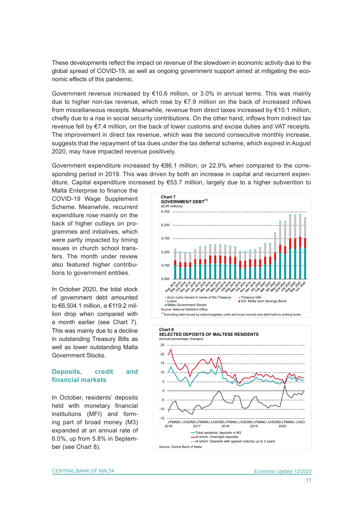These developments reflect the impact on revenue of the slowdown in economic activity due to the global spread of COVID-19, as well as ongoing government support aimed at mitigating the economic effects of this pandemic.

Government revenue increased by €10.6 million, or 3.0% in annual terms. This was mainly due to higher non-tax revenue, which rose by €7.9 million on the back of increased inflows from miscellaneous receipts. Meanwhile, revenue from direct taxes increased by €10.1 million, chiefly due to a rise in social security contributions. On the other hand, inflows from indirect tax revenue fell by €7.4 million, on the back of lower customs and excise duties and VAT receipts. The improvement in direct tax revenue, which was the second consecutive monthly increase, suggests that the repayment of tax dues under the tax deferral scheme, which expired in August 2020, may have impacted revenue positively.

Government expenditure increased by €86.1 million, or 22.9% when compared to the corresponding period in 2019. This was driven by both an increase in capital and recurrent expenditure. Capital expenditure increased by €53.7 million, largely due to a higher subvention to

Malta Enterprise to finance the COVID-19 Wage Supplement Scheme. Meanwhile, recurrent expenditure rose mainly on the back of higher outlays on programmes and initiatives, which were partly impacted by timing issues in church school transfers. The month under review also featured higher contributions to government entities.

In October 2020, the total stock of government debt amounted to €6,504.1 million, a €119.2 million drop when compared with a month earlier (see Chart 7). This was mainly due to a decline in outstanding Treasury Bills as well as lower outstanding Malta Government Stocks.

## **Deposits, credit and financial markets**

In October, residents' deposits held with monetary financial institutions (MFI) and forming part of broad money (M3) expanded at an annual rate of 6.0%, up from 5.8% in September (see Chart 8).



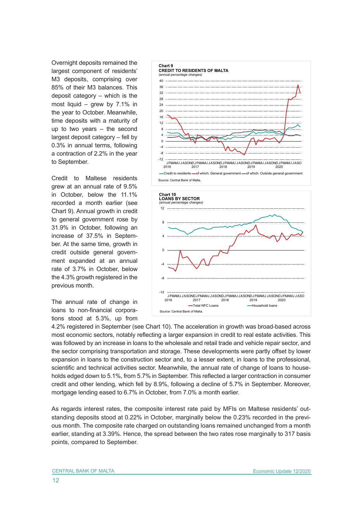Overnight deposits remained the largest component of residents' M3 deposits, comprising over 85% of their M3 balances. This deposit category – which is the most liquid – grew by 7.1% in the year to October. Meanwhile, time deposits with a maturity of up to two years – the second largest deposit category – fell by 0.3% in annual terms, following a contraction of 2.2% in the year to September.

Credit to Maltese residents grew at an annual rate of 9.5% in October, below the 11.1% recorded a month earlier (see Chart 9). Annual growth in credit to general government rose by 31.9% in October, following an increase of 37.5% in September. At the same time, growth in credit outside general government expanded at an annual rate of 3.7% in October, below the 4.3% growth registered in the previous month.

The annual rate of change in loans to non-financial corporations stood at 5.3%, up from





4.2% registered in September (see Chart 10). The acceleration in growth was broad-based across most economic sectors, notably reflecting a larger expansion in credit to real estate activities. This was followed by an increase in loans to the wholesale and retail trade and vehicle repair sector, and the sector comprising transportation and storage. These developments were partly offset by lower expansion in loans to the construction sector and, to a lesser extent, in loans to the professional, scientific and technical activities sector. Meanwhile, the annual rate of change of loans to households edged down to 5.1%, from 5.7% in September. This reflected a larger contraction in consumer credit and other lending, which fell by 8.9%, following a decline of 5.7% in September. Moreover, mortgage lending eased to 6.7% in October, from 7.0% a month earlier.

As regards interest rates, the composite interest rate paid by MFIs on Maltese residents' outstanding deposits stood at 0.22% in October, marginally below the 0.23% recorded in the previous month. The composite rate charged on outstanding loans remained unchanged from a month earlier, standing at 3.39%. Hence, the spread between the two rates rose marginally to 317 basis points, compared to September.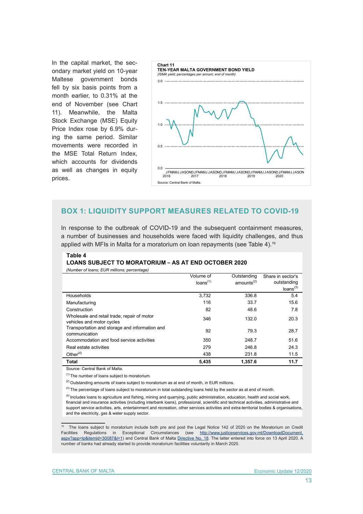In the capital market, the secondary market yield on 10-year Maltese government bonds fell by six basis points from a month earlier, to 0.31% at the end of November (see Chart 11). Meanwhile, the Malta Stock Exchange (MSE) Equity Price Index rose by 6.9% during the same period. Similar movements were recorded in the MSE Total Return Index, which accounts for dividends as well as changes in equity prices.



## **BOX 1: LIQUIDITY SUPPORT MEASURES RELATED TO COVID-19**

In response to the outbreak of COVID-19 and the subsequent containment measures, a number of businesses and households were faced with liquidity challenges, and thus applied with MFIs in Malta for a moratorium on loan repayments (see Table 4).<sup>16</sup>

#### **Table 4**

#### **LOANS SUBJECT TO MORATORIUM – AS AT END OCTOBER 2020**

| (Number of Ioans; EUR millions; percentage)                              |                      |                        |                      |
|--------------------------------------------------------------------------|----------------------|------------------------|----------------------|
|                                                                          | Volume of            | Outstanding            | Share in sector's    |
|                                                                          | loans <sup>(1)</sup> | amounts <sup>(2)</sup> | outstanding          |
|                                                                          |                      |                        | loans <sup>(3)</sup> |
| Households                                                               | 3,732                | 336.8                  | 5.4                  |
| Manufacturing                                                            | 116                  | 33.7                   | 15.6                 |
| Construction                                                             | 82                   | 48.6                   | 7.8                  |
| Wholesale and retail trade; repair of motor<br>vehicles and motor cycles | 346                  | 132.0                  | 20.3                 |
| Transportation and storage and information and<br>communication          | 92                   | 79.3                   | 28.7                 |
| Accommodation and food service activities                                | 350                  | 248.7                  | 51.6                 |
| Real estate activities                                                   | 279                  | 246.8                  | 24.3                 |
| Other $(4)$                                                              | 438                  | 231.8                  | 11.5                 |
| <b>Total</b>                                                             | 5,435                | 1,357.6                | 11.7                 |
| Source: Central Bank of Malta                                            |                      |                        |                      |

 $(1)$  The number of loans subject to moratorium.

 $(2)$  Outstanding amounts of loans subject to moratorium as at end of month, in EUR millions.

 $(3)$  The percentage of loans subject to moratorium in total outstanding loans held by the sector as at end of month.

<sup>(4)</sup> Includes loans to agriculture and fishing, mining and quarrying, public administration, education, health and social work, financial and insurance activities (including interbank loans), professional, scientific and technical activities, administrative and support service activities, arts, entertainment and recreation, other services activities and extra-territorial bodies & organisations, and the electricity, gas & water supply sector.

<sup>16</sup> The loans subject to moratorium include both pre and post the Legal Notice 142 of 2020 on the Moratorium on Credit Facilities Regulations in Exceptional Circumstances (see [http://www.justiceservices.gov.mt/DownloadDocument.](http://www.justiceservices.gov.mt/DownloadDocument.aspx?app=lp&itemid=30087&l=1) [aspx?app=lp&itemid=30087&l=1](http://www.justiceservices.gov.mt/DownloadDocument.aspx?app=lp&itemid=30087&l=1)) and Central Bank of Malta [Directive No. 18](https://www.centralbankmalta.org/file.aspx?f=92812). The latter entered into force on 13 April 2020. A number of banks had already started to provide moratorium facilities voluntarily in March 2020.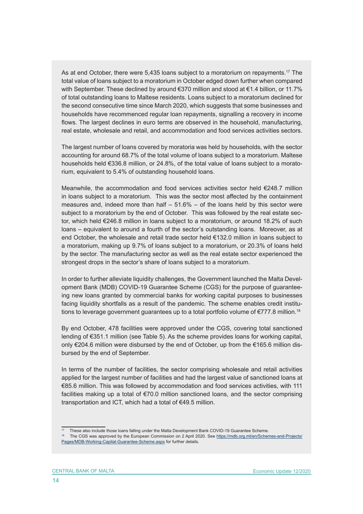As at end October, there were 5,435 loans subject to a moratorium on repayments.<sup>17</sup> The total value of loans subject to a moratorium in October edged down further when compared with September. These declined by around €370 million and stood at €1.4 billion, or 11.7% of total outstanding loans to Maltese residents. Loans subject to a moratorium declined for the second consecutive time since March 2020, which suggests that some businesses and households have recommenced regular loan repayments, signalling a recovery in income flows. The largest declines in euro terms are observed in the household, manufacturing, real estate, wholesale and retail, and accommodation and food services activities sectors.

The largest number of loans covered by moratoria was held by households, with the sector accounting for around 68.7% of the total volume of loans subject to a moratorium. Maltese households held €336.8 million, or 24.8%, of the total value of loans subject to a moratorium, equivalent to 5.4% of outstanding household loans.

Meanwhile, the accommodation and food services activities sector held €248.7 million in loans subject to a moratorium. This was the sector most affected by the containment measures and, indeed more than half  $-51.6%$  – of the loans held by this sector were subject to a moratorium by the end of October. This was followed by the real estate sector, which held €246.8 million in loans subject to a moratorium, or around 18.2% of such loans – equivalent to around a fourth of the sector's outstanding loans. Moreover, as at end October, the wholesale and retail trade sector held €132.0 million in loans subject to a moratorium, making up 9.7% of loans subject to a moratorium, or 20.3% of loans held by the sector. The manufacturing sector as well as the real estate sector experienced the strongest drops in the sector's share of loans subject to a moratorium.

In order to further alleviate liquidity challenges, the Government launched the Malta Development Bank (MDB) COVID-19 Guarantee Scheme (CGS) for the purpose of guaranteeing new loans granted by commercial banks for working capital purposes to businesses facing liquidity shortfalls as a result of the pandemic. The scheme enables credit institutions to leverage government guarantees up to a total portfolio volume of  $\epsilon$ 777.8 million.<sup>18</sup>

By end October, 478 facilities were approved under the CGS, covering total sanctioned lending of €351.1 million (see Table 5). As the scheme provides loans for working capital, only €204.6 million were disbursed by the end of October, up from the €165.6 million disbursed by the end of September.

In terms of the number of facilities, the sector comprising wholesale and retail activities applied for the largest number of facilities and had the largest value of sanctioned loans at €85.6 million. This was followed by accommodation and food services activities, with 111 facilities making up a total of  $\epsilon$ 70.0 million sanctioned loans, and the sector comprising transportation and ICT, which had a total of €49.5 million.

<sup>17</sup> These also include those loans falling under the Malta Development Bank COVID-19 Guarantee Scheme.

<sup>&</sup>lt;sup>18</sup> The CGS was approved by the European Commission on 2 April 2020. See [https://mdb.org.mt/en/Schemes-and-Projects/](https://mdb.org.mt/en/Schemes-and-Projects/Pages/MDB-Working-Capital-Guarantee-Scheme.aspx) [Pages/MDB-Working-Capital-Guarantee-Scheme.aspx](https://mdb.org.mt/en/Schemes-and-Projects/Pages/MDB-Working-Capital-Guarantee-Scheme.aspx) for further details.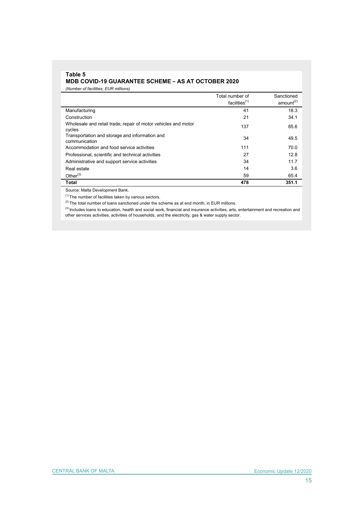## **Table 5 MDB COVID-19 GUARANTEE SCHEME – AS AT OCTOBER 2020**

*(Number of facilities; EUR millions)*

|                                                                          | Total number of<br>facilities <sup>(1)</sup> | Sanctioned<br>amount <sup>(2)</sup> |
|--------------------------------------------------------------------------|----------------------------------------------|-------------------------------------|
| Manufacturing                                                            | 41                                           | 18.3                                |
| Construction                                                             | 21                                           | 34.1                                |
| Wholesale and retail trade; repair of motor vehicles and motor<br>cycles | 137                                          | 85.6                                |
| Transportation and storage and information and<br>communication          | 34                                           | 49.5                                |
| Accommodation and food service activities                                | 111                                          | 70.0                                |
| Professional, scientific and technical activities                        | 27                                           | 12.8                                |
| Administrative and support service activities                            | 34                                           | 11.7                                |
| Real estate                                                              | 14                                           | 3.6                                 |
| Other $(3)$                                                              | 59                                           | 65.4                                |
| <b>Total</b>                                                             | 478                                          | 351.1                               |

Source: Malta Development Bank.

 $(1)$  The number of facilities taken by various sectors.

 $(2)$  The total number of loans sanctioned under the scheme as at end month, in EUR millions.

<sup>(3)</sup> Includes loans to education, health and social work, financial and insurance activities, arts, entertainment and recreation and other services activities, activities of households, and the electricity, gas & water supply sector.